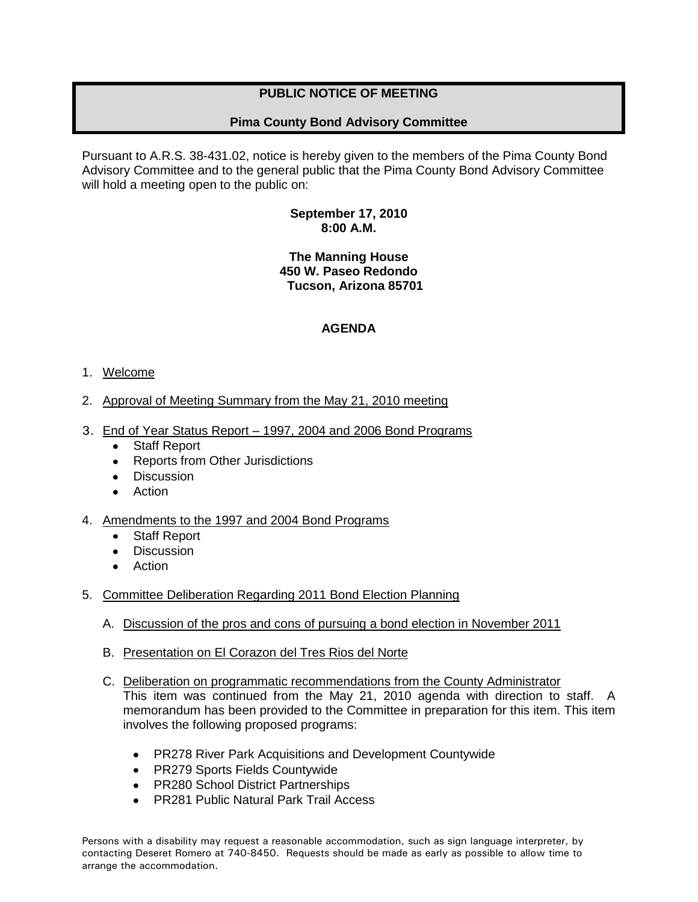# **PUBLIC NOTICE OF MEETING**

# **Pima County Bond Advisory Committee**

Pursuant to A.R.S. 38-431.02, notice is hereby given to the members of the Pima County Bond Advisory Committee and to the general public that the Pima County Bond Advisory Committee will hold a meeting open to the public on:

## **September 17, 2010 8:00 A.M.**

## **The Manning House 450 W. Paseo Redondo Tucson, Arizona 85701**

# **AGENDA**

## 1. Welcome

- 2. Approval of Meeting Summary from the May 21, 2010 meeting
- 3. End of Year Status Report 1997, 2004 and 2006 Bond Programs
	- Staff Report
	- Reports from Other Jurisdictions
	- **Discussion**
	- Action
- 4. Amendments to the 1997 and 2004 Bond Programs
	- Staff Report
	- **Discussion**
	- Action
- 5. Committee Deliberation Regarding 2011 Bond Election Planning
	- A. Discussion of the pros and cons of pursuing a bond election in November 2011
	- B. Presentation on El Corazon del Tres Rios del Norte
	- C. Deliberation on programmatic recommendations from the County Administrator This item was continued from the May 21, 2010 agenda with direction to staff. A memorandum has been provided to the Committee in preparation for this item. This item involves the following proposed programs:
		- PR278 River Park Acquisitions and Development Countywide
		- PR279 Sports Fields Countywide
		- PR280 School District Partnerships
		- PR281 Public Natural Park Trail Access

Persons with a disability may request a reasonable accommodation, such as sign language interpreter, by contacting Deseret Romero at 740-8450. Requests should be made as early as possible to allow time to arrange the accommodation.